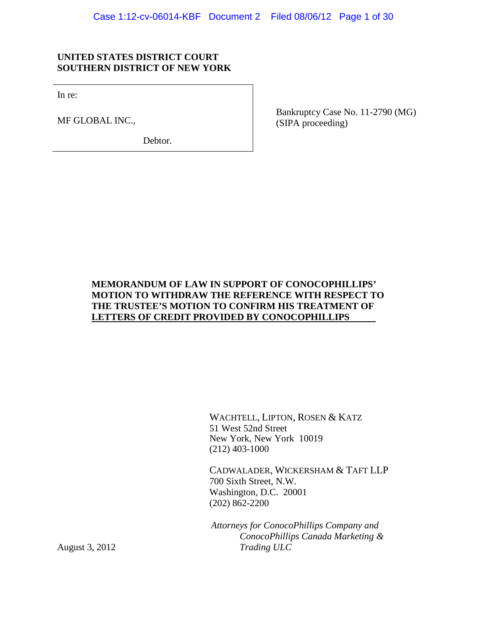### **UNITED STATES DISTRICT COURT SOUTHERN DISTRICT OF NEW YORK**

In re:

MF GLOBAL INC.,

Debtor.

Bankruptcy Case No. 11-2790 (MG) (SIPA proceeding)

### **MEMORANDUM OF LAW IN SUPPORT OF CONOCOPHILLIPS' MOTION TO WITHDRAW THE REFERENCE WITH RESPECT TO THE TRUSTEE'S MOTION TO CONFIRM HIS TREATMENT OF LETTERS OF CREDIT PROVIDED BY CONOCOPHILLIPS**

WACHTELL, LIPTON, ROSEN & KATZ 51 West 52nd Street New York, New York 10019 (212) 403-1000

CADWALADER, WICKERSHAM & TAFT LLP 700 Sixth Street, N.W. Washington, D.C. 20001 (202) 862-2200

*Attorneys for ConocoPhillips Company and ConocoPhillips Canada Marketing & Trading ULC*

August 3, 2012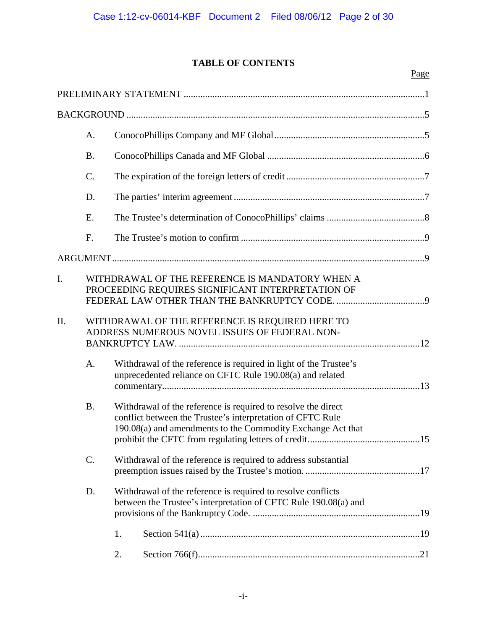# **TABLE OF CONTENTS**

|     |                 |                                                                                                                                                                                            |                                                                                                                                 | Page |
|-----|-----------------|--------------------------------------------------------------------------------------------------------------------------------------------------------------------------------------------|---------------------------------------------------------------------------------------------------------------------------------|------|
|     |                 |                                                                                                                                                                                            |                                                                                                                                 |      |
|     |                 |                                                                                                                                                                                            |                                                                                                                                 |      |
|     | A.              |                                                                                                                                                                                            |                                                                                                                                 |      |
|     | <b>B.</b>       |                                                                                                                                                                                            |                                                                                                                                 |      |
|     | $\mathcal{C}$ . |                                                                                                                                                                                            |                                                                                                                                 |      |
|     | D.              |                                                                                                                                                                                            |                                                                                                                                 |      |
|     | E.              |                                                                                                                                                                                            |                                                                                                                                 |      |
|     | F.              |                                                                                                                                                                                            |                                                                                                                                 |      |
|     |                 |                                                                                                                                                                                            |                                                                                                                                 |      |
| I.  |                 |                                                                                                                                                                                            | WITHDRAWAL OF THE REFERENCE IS MANDATORY WHEN A<br>PROCEEDING REQUIRES SIGNIFICANT INTERPRETATION OF                            |      |
| II. |                 |                                                                                                                                                                                            | WITHDRAWAL OF THE REFERENCE IS REQUIRED HERE TO<br>ADDRESS NUMEROUS NOVEL ISSUES OF FEDERAL NON-                                |      |
|     | A.              |                                                                                                                                                                                            | Withdrawal of the reference is required in light of the Trustee's<br>unprecedented reliance on CFTC Rule 190.08(a) and related  |      |
|     | <b>B.</b>       | Withdrawal of the reference is required to resolve the direct<br>conflict between the Trustee's interpretation of CFTC Rule<br>190.08(a) and amendments to the Commodity Exchange Act that |                                                                                                                                 |      |
|     | C.              | Withdrawal of the reference is required to address substantial                                                                                                                             |                                                                                                                                 |      |
|     | D.              |                                                                                                                                                                                            | Withdrawal of the reference is required to resolve conflicts<br>between the Trustee's interpretation of CFTC Rule 190.08(a) and |      |
|     |                 | 1.                                                                                                                                                                                         |                                                                                                                                 |      |
|     |                 | 2.                                                                                                                                                                                         |                                                                                                                                 |      |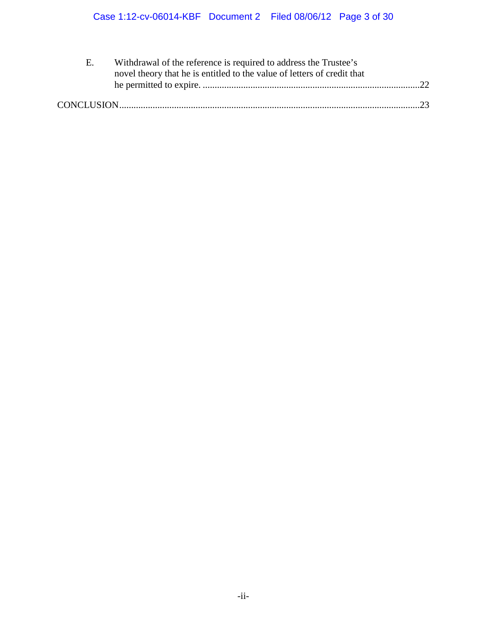| E. | Withdrawal of the reference is required to address the Trustee's        |  |  |
|----|-------------------------------------------------------------------------|--|--|
|    | novel theory that he is entitled to the value of letters of credit that |  |  |
|    |                                                                         |  |  |
|    |                                                                         |  |  |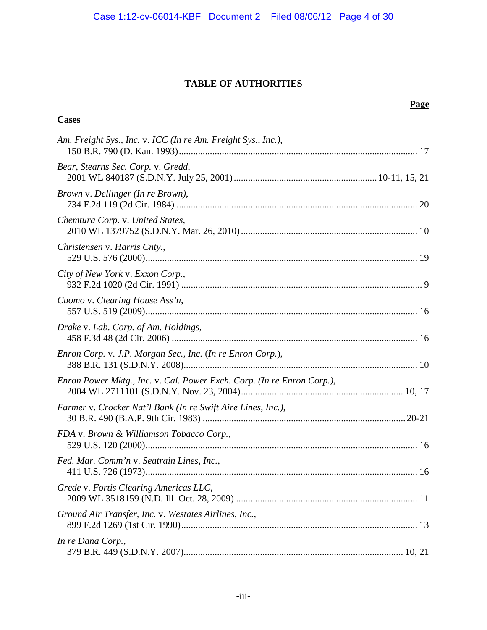## **TABLE OF AUTHORITIES**

|                                                                        | Page |
|------------------------------------------------------------------------|------|
| <b>Cases</b>                                                           |      |
| Am. Freight Sys., Inc. v. ICC (In re Am. Freight Sys., Inc.),          |      |
| Bear, Stearns Sec. Corp. v. Gredd,                                     |      |
| Brown v. Dellinger (In re Brown),                                      |      |
| Chemtura Corp. v. United States,                                       |      |
| Christensen v. Harris Cnty.,                                           |      |
| City of New York v. Exxon Corp.,                                       |      |
| Cuomo v. Clearing House Ass'n,                                         |      |
| Drake v. Lab. Corp. of Am. Holdings,                                   |      |
| Enron Corp. v. J.P. Morgan Sec., Inc. (In re Enron Corp.),             |      |
| Enron Power Mktg., Inc. v. Cal. Power Exch. Corp. (In re Enron Corp.), |      |
| Farmer v. Crocker Nat'l Bank (In re Swift Aire Lines, Inc.),           |      |
| FDA v. Brown & Williamson Tobacco Corp.,                               |      |
| Fed. Mar. Comm'n v. Seatrain Lines, Inc.,                              |      |
| Grede v. Fortis Clearing Americas LLC,                                 |      |
| Ground Air Transfer, Inc. v. Westates Airlines, Inc.,                  |      |
| In re Dana Corp.,                                                      |      |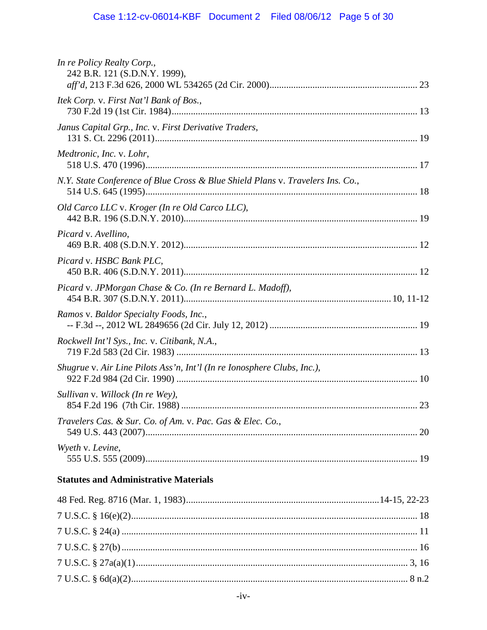| In re Policy Realty Corp.,<br>242 B.R. 121 (S.D.N.Y. 1999),                    |    |
|--------------------------------------------------------------------------------|----|
|                                                                                |    |
| Itek Corp. v. First Nat'l Bank of Bos.,                                        |    |
| Janus Capital Grp., Inc. v. First Derivative Traders,                          |    |
| Medtronic, Inc. v. Lohr,                                                       |    |
| N.Y. State Conference of Blue Cross & Blue Shield Plans v. Travelers Ins. Co., |    |
| Old Carco LLC v. Kroger (In re Old Carco LLC),                                 |    |
| Picard v. Avellino,                                                            |    |
| Picard v. HSBC Bank PLC,                                                       |    |
| Picard v. JPMorgan Chase & Co. (In re Bernard L. Madoff),                      |    |
| Ramos v. Baldor Specialty Foods, Inc.,                                         |    |
| Rockwell Int'l Sys., Inc. v. Citibank, N.A.,                                   |    |
| Shugrue v. Air Line Pilots Ass'n, Int'l (In re Ionosphere Clubs, Inc.),        |    |
| Sullivan v. Willock (In re Wey),                                               |    |
| Travelers Cas. & Sur. Co. of Am. v. Pac. Gas & Elec. Co.,                      | 20 |
| Wyeth v. Levine,                                                               |    |
|                                                                                |    |

# **Statutes and Administrative Materials**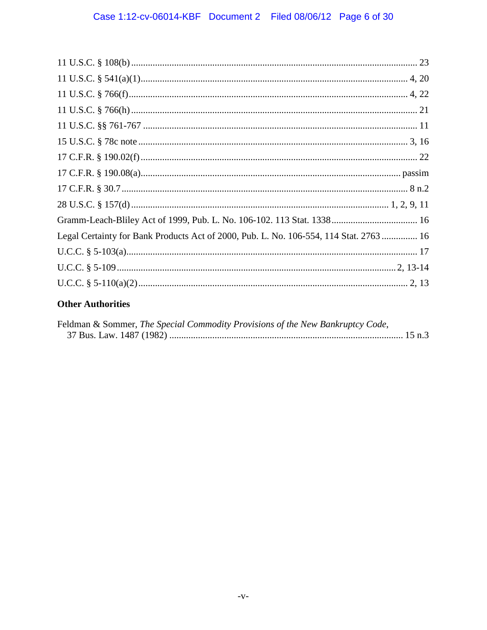| Legal Certainty for Bank Products Act of 2000, Pub. L. No. 106-554, 114 Stat. 2763  16 |  |
|----------------------------------------------------------------------------------------|--|
|                                                                                        |  |
|                                                                                        |  |
|                                                                                        |  |

## **Other Authorities**

| Feldman & Sommer, The Special Commodity Provisions of the New Bankruptcy Code, |  |
|--------------------------------------------------------------------------------|--|
|                                                                                |  |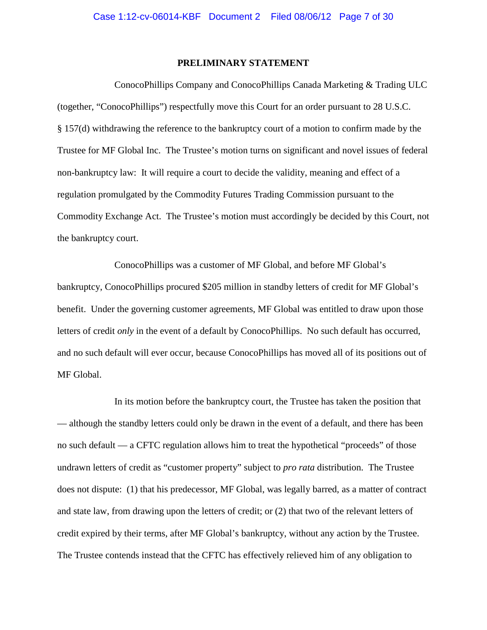#### **PRELIMINARY STATEMENT**

<span id="page-6-0"></span>ConocoPhillips Company and ConocoPhillips Canada Marketing & Trading ULC (together, "ConocoPhillips") respectfully move this Court for an order pursuant to 28 U.S.C. § 157(d) withdrawing the reference to the bankruptcy court of a motion to confirm made by the Trustee for MF Global Inc. The Trustee's motion turns on significant and novel issues of federal non-bankruptcy law: It will require a court to decide the validity, meaning and effect of a regulation promulgated by the Commodity Futures Trading Commission pursuant to the Commodity Exchange Act. The Trustee's motion must accordingly be decided by this Court, not the bankruptcy court.

ConocoPhillips was a customer of MF Global, and before MF Global's bankruptcy, ConocoPhillips procured \$205 million in standby letters of credit for MF Global's benefit. Under the governing customer agreements, MF Global was entitled to draw upon those letters of credit *only* in the event of a default by ConocoPhillips. No such default has occurred, and no such default will ever occur, because ConocoPhillips has moved all of its positions out of MF Global.

In its motion before the bankruptcy court, the Trustee has taken the position that — although the standby letters could only be drawn in the event of a default, and there has been no such default — a CFTC regulation allows him to treat the hypothetical "proceeds" of those undrawn letters of credit as "customer property" subject to *pro rata* distribution. The Trustee does not dispute: (1) that his predecessor, MF Global, was legally barred, as a matter of contract and state law, from drawing upon the letters of credit; or (2) that two of the relevant letters of credit expired by their terms, after MF Global's bankruptcy, without any action by the Trustee. The Trustee contends instead that the CFTC has effectively relieved him of any obligation to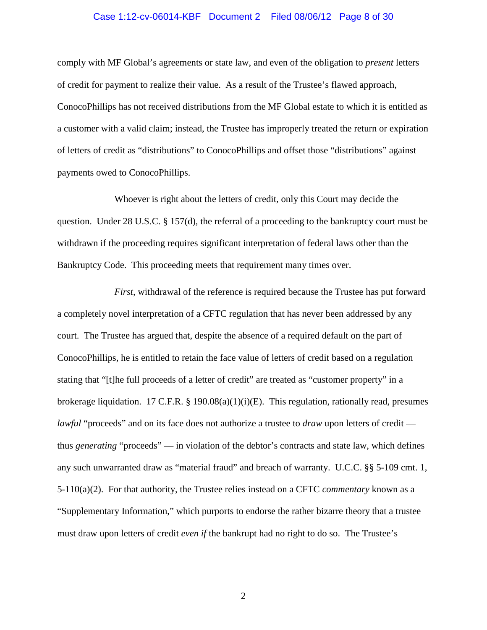#### Case 1:12-cv-06014-KBF Document 2 Filed 08/06/12 Page 8 of 30

comply with MF Global's agreements or state law, and even of the obligation to *present* letters of credit for payment to realize their value. As a result of the Trustee's flawed approach, ConocoPhillips has not received distributions from the MF Global estate to which it is entitled as a customer with a valid claim; instead, the Trustee has improperly treated the return or expiration of letters of credit as "distributions" to ConocoPhillips and offset those "distributions" against payments owed to ConocoPhillips.

Whoever is right about the letters of credit, only this Court may decide the question. Under 28 U.S.C. § 157(d), the referral of a proceeding to the bankruptcy court must be withdrawn if the proceeding requires significant interpretation of federal laws other than the Bankruptcy Code. This proceeding meets that requirement many times over.

*First*, withdrawal of the reference is required because the Trustee has put forward a completely novel interpretation of a CFTC regulation that has never been addressed by any court. The Trustee has argued that, despite the absence of a required default on the part of ConocoPhillips, he is entitled to retain the face value of letters of credit based on a regulation stating that "[t]he full proceeds of a letter of credit" are treated as "customer property" in a brokerage liquidation. 17 C.F.R. § 190.08(a)(1)(i)(E). This regulation, rationally read, presumes *lawful* "proceeds" and on its face does not authorize a trustee to *draw* upon letters of credit thus *generating* "proceeds" — in violation of the debtor's contracts and state law, which defines any such unwarranted draw as "material fraud" and breach of warranty. U.C.C. §§ 5-109 cmt. 1, 5-110(a)(2). For that authority, the Trustee relies instead on a CFTC *commentary* known as a "Supplementary Information," which purports to endorse the rather bizarre theory that a trustee must draw upon letters of credit *even if* the bankrupt had no right to do so. The Trustee's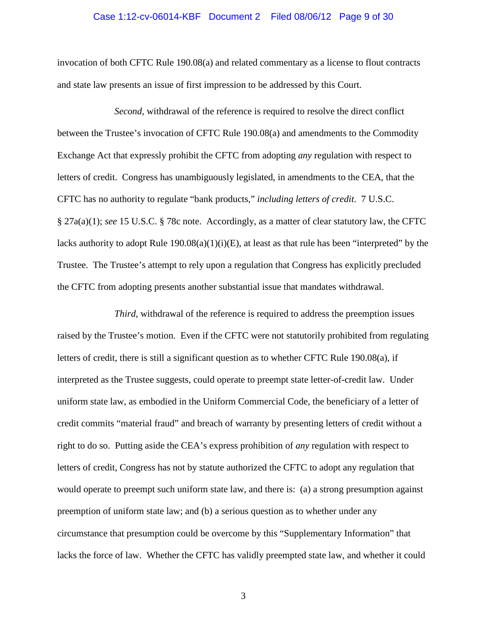#### Case 1:12-cv-06014-KBF Document 2 Filed 08/06/12 Page 9 of 30

invocation of both CFTC Rule 190.08(a) and related commentary as a license to flout contracts and state law presents an issue of first impression to be addressed by this Court.

*Second*, withdrawal of the reference is required to resolve the direct conflict between the Trustee's invocation of CFTC Rule 190.08(a) and amendments to the Commodity Exchange Act that expressly prohibit the CFTC from adopting *any* regulation with respect to letters of credit. Congress has unambiguously legislated, in amendments to the CEA, that the CFTC has no authority to regulate "bank products," *including letters of credit*. 7 U.S.C. § 27a(a)(1); *see* 15 U.S.C. § 78c note. Accordingly, as a matter of clear statutory law, the CFTC lacks authority to adopt Rule  $190.08(a)(1)(i)(E)$ , at least as that rule has been "interpreted" by the Trustee. The Trustee's attempt to rely upon a regulation that Congress has explicitly precluded the CFTC from adopting presents another substantial issue that mandates withdrawal.

*Third*, withdrawal of the reference is required to address the preemption issues raised by the Trustee's motion. Even if the CFTC were not statutorily prohibited from regulating letters of credit, there is still a significant question as to whether CFTC Rule 190.08(a), if interpreted as the Trustee suggests, could operate to preempt state letter-of-credit law. Under uniform state law, as embodied in the Uniform Commercial Code, the beneficiary of a letter of credit commits "material fraud" and breach of warranty by presenting letters of credit without a right to do so. Putting aside the CEA's express prohibition of *any* regulation with respect to letters of credit, Congress has not by statute authorized the CFTC to adopt any regulation that would operate to preempt such uniform state law, and there is: (a) a strong presumption against preemption of uniform state law; and (b) a serious question as to whether under any circumstance that presumption could be overcome by this "Supplementary Information" that lacks the force of law. Whether the CFTC has validly preempted state law, and whether it could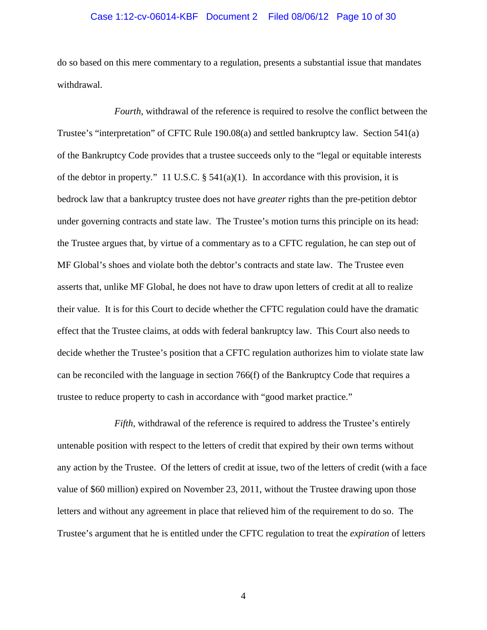#### Case 1:12-cv-06014-KBF Document 2 Filed 08/06/12 Page 10 of 30

do so based on this mere commentary to a regulation, presents a substantial issue that mandates withdrawal.

*Fourth*, withdrawal of the reference is required to resolve the conflict between the Trustee's "interpretation" of CFTC Rule 190.08(a) and settled bankruptcy law. Section 541(a) of the Bankruptcy Code provides that a trustee succeeds only to the "legal or equitable interests of the debtor in property." 11 U.S.C. § 541(a)(1). In accordance with this provision, it is bedrock law that a bankruptcy trustee does not have *greater* rights than the pre-petition debtor under governing contracts and state law. The Trustee's motion turns this principle on its head: the Trustee argues that, by virtue of a commentary as to a CFTC regulation, he can step out of MF Global's shoes and violate both the debtor's contracts and state law. The Trustee even asserts that, unlike MF Global, he does not have to draw upon letters of credit at all to realize their value. It is for this Court to decide whether the CFTC regulation could have the dramatic effect that the Trustee claims, at odds with federal bankruptcy law. This Court also needs to decide whether the Trustee's position that a CFTC regulation authorizes him to violate state law can be reconciled with the language in section 766(f) of the Bankruptcy Code that requires a trustee to reduce property to cash in accordance with "good market practice."

*Fifth*, withdrawal of the reference is required to address the Trustee's entirely untenable position with respect to the letters of credit that expired by their own terms without any action by the Trustee. Of the letters of credit at issue, two of the letters of credit (with a face value of \$60 million) expired on November 23, 2011, without the Trustee drawing upon those letters and without any agreement in place that relieved him of the requirement to do so. The Trustee's argument that he is entitled under the CFTC regulation to treat the *expiration* of letters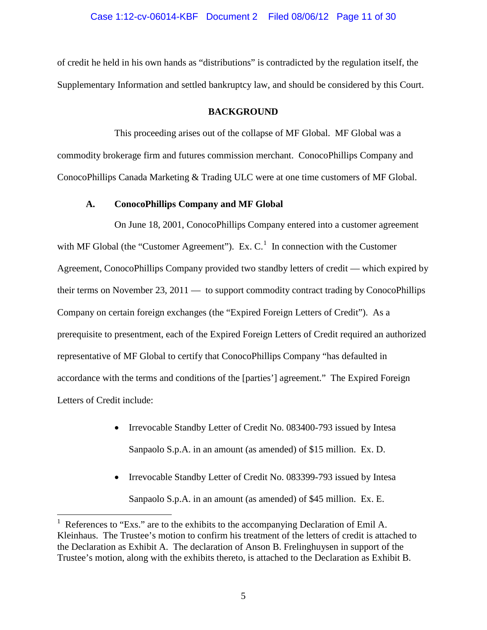of credit he held in his own hands as "distributions" is contradicted by the regulation itself, the Supplementary Information and settled bankruptcy law, and should be considered by this Court.

### **BACKGROUND**

<span id="page-10-0"></span>This proceeding arises out of the collapse of MF Global. MF Global was a commodity brokerage firm and futures commission merchant. ConocoPhillips Company and ConocoPhillips Canada Marketing & Trading ULC were at one time customers of MF Global.

#### **A. ConocoPhillips Company and MF Global**

<span id="page-10-1"></span>On June 18, 2001, ConocoPhillips Company entered into a customer agreement with MF Global (the "Customer Agreement"). Ex.  $C<sup>1</sup>$  $C<sup>1</sup>$  $C<sup>1</sup>$  In connection with the Customer Agreement, ConocoPhillips Company provided two standby letters of credit — which expired by their terms on November 23, 2011 — to support commodity contract trading by ConocoPhillips Company on certain foreign exchanges (the "Expired Foreign Letters of Credit"). As a prerequisite to presentment, each of the Expired Foreign Letters of Credit required an authorized representative of MF Global to certify that ConocoPhillips Company "has defaulted in accordance with the terms and conditions of the [parties'] agreement." The Expired Foreign Letters of Credit include:

- Irrevocable Standby Letter of Credit No. 083400-793 issued by Intesa Sanpaolo S.p.A. in an amount (as amended) of \$15 million. Ex. D.
- Irrevocable Standby Letter of Credit No. 083399-793 issued by Intesa Sanpaolo S.p.A. in an amount (as amended) of \$45 million. Ex. E.

<span id="page-10-2"></span> $\frac{1}{1}$  References to "Exs." are to the exhibits to the accompanying Declaration of Emil A. Kleinhaus. The Trustee's motion to confirm his treatment of the letters of credit is attached to the Declaration as Exhibit A. The declaration of Anson B. Frelinghuysen in support of the Trustee's motion, along with the exhibits thereto, is attached to the Declaration as Exhibit B.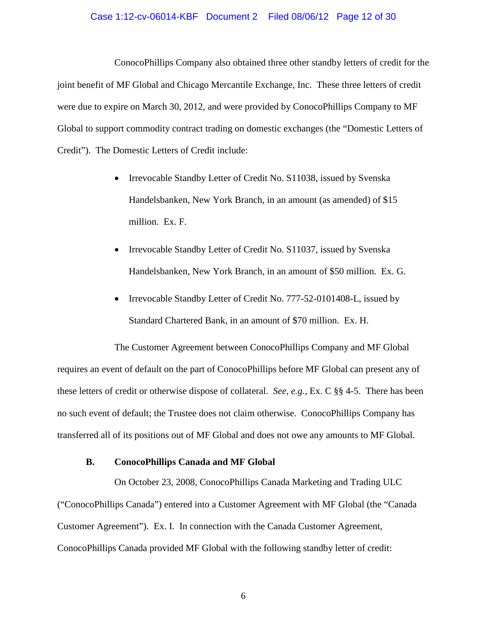#### Case 1:12-cv-06014-KBF Document 2 Filed 08/06/12 Page 12 of 30

ConocoPhillips Company also obtained three other standby letters of credit for the joint benefit of MF Global and Chicago Mercantile Exchange, Inc. These three letters of credit were due to expire on March 30, 2012, and were provided by ConocoPhillips Company to MF Global to support commodity contract trading on domestic exchanges (the "Domestic Letters of Credit"). The Domestic Letters of Credit include:

- Irrevocable Standby Letter of Credit No. S11038, issued by Svenska Handelsbanken, New York Branch, in an amount (as amended) of \$15 million. Ex. F.
- Irrevocable Standby Letter of Credit No. S11037, issued by Svenska Handelsbanken, New York Branch, in an amount of \$50 million. Ex. G.
- Irrevocable Standby Letter of Credit No. 777-52-0101408-L, issued by Standard Chartered Bank, in an amount of \$70 million. Ex. H.

The Customer Agreement between ConocoPhillips Company and MF Global requires an event of default on the part of ConocoPhillips before MF Global can present any of these letters of credit or otherwise dispose of collateral. *See, e.g.*, Ex. C §§ 4-5. There has been no such event of default; the Trustee does not claim otherwise. ConocoPhillips Company has transferred all of its positions out of MF Global and does not owe any amounts to MF Global.

### **B. ConocoPhillips Canada and MF Global**

<span id="page-11-0"></span>On October 23, 2008, ConocoPhillips Canada Marketing and Trading ULC ("ConocoPhillips Canada") entered into a Customer Agreement with MF Global (the "Canada Customer Agreement"). Ex. I. In connection with the Canada Customer Agreement, ConocoPhillips Canada provided MF Global with the following standby letter of credit: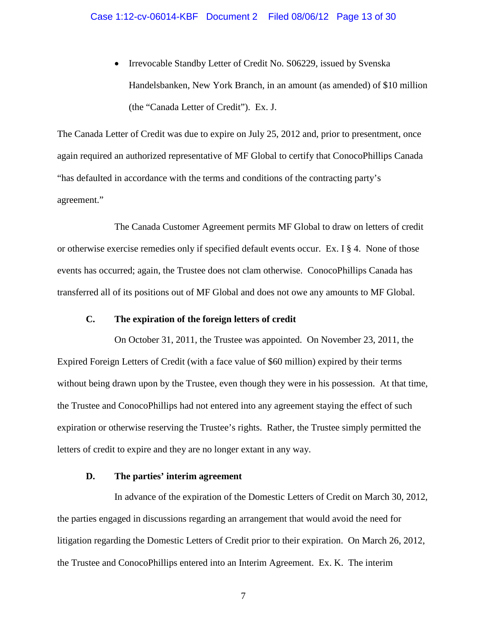• Irrevocable Standby Letter of Credit No. S06229, issued by Svenska Handelsbanken, New York Branch, in an amount (as amended) of \$10 million (the "Canada Letter of Credit"). Ex. J.

The Canada Letter of Credit was due to expire on July 25, 2012 and, prior to presentment, once again required an authorized representative of MF Global to certify that ConocoPhillips Canada "has defaulted in accordance with the terms and conditions of the contracting party's agreement."

The Canada Customer Agreement permits MF Global to draw on letters of credit or otherwise exercise remedies only if specified default events occur. Ex. I § 4. None of those events has occurred; again, the Trustee does not clam otherwise. ConocoPhillips Canada has transferred all of its positions out of MF Global and does not owe any amounts to MF Global.

### **C. The expiration of the foreign letters of credit**

<span id="page-12-0"></span>On October 31, 2011, the Trustee was appointed. On November 23, 2011, the Expired Foreign Letters of Credit (with a face value of \$60 million) expired by their terms without being drawn upon by the Trustee, even though they were in his possession. At that time, the Trustee and ConocoPhillips had not entered into any agreement staying the effect of such expiration or otherwise reserving the Trustee's rights. Rather, the Trustee simply permitted the letters of credit to expire and they are no longer extant in any way.

### **D. The parties' interim agreement**

<span id="page-12-1"></span>In advance of the expiration of the Domestic Letters of Credit on March 30, 2012, the parties engaged in discussions regarding an arrangement that would avoid the need for litigation regarding the Domestic Letters of Credit prior to their expiration. On March 26, 2012, the Trustee and ConocoPhillips entered into an Interim Agreement. Ex. K. The interim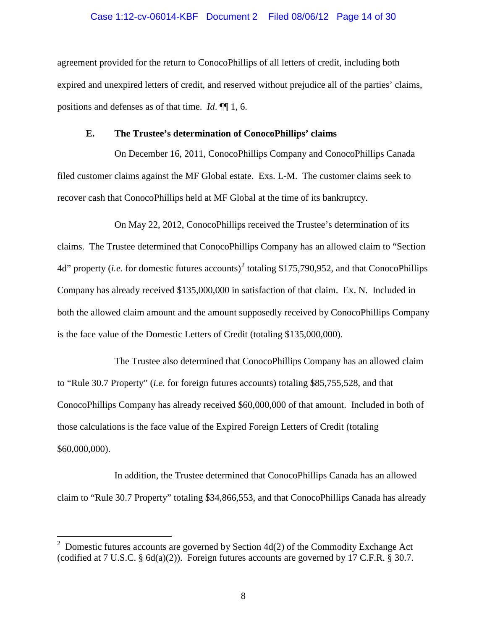#### Case 1:12-cv-06014-KBF Document 2 Filed 08/06/12 Page 14 of 30

agreement provided for the return to ConocoPhillips of all letters of credit, including both expired and unexpired letters of credit, and reserved without prejudice all of the parties' claims, positions and defenses as of that time. *Id*. ¶¶ 1, 6.

#### **E. The Trustee's determination of ConocoPhillips' claims**

<span id="page-13-0"></span>On December 16, 2011, ConocoPhillips Company and ConocoPhillips Canada filed customer claims against the MF Global estate. Exs. L-M. The customer claims seek to recover cash that ConocoPhillips held at MF Global at the time of its bankruptcy.

On May 22, 2012, ConocoPhillips received the Trustee's determination of its claims. The Trustee determined that ConocoPhillips Company has an allowed claim to "Section 4d" property (*i.e.* for domestic futures accounts)<sup>[2](#page-13-1)</sup> totaling \$175,790,952, and that ConocoPhillips Company has already received \$135,000,000 in satisfaction of that claim. Ex. N. Included in both the allowed claim amount and the amount supposedly received by ConocoPhillips Company is the face value of the Domestic Letters of Credit (totaling \$135,000,000).

The Trustee also determined that ConocoPhillips Company has an allowed claim to "Rule 30.7 Property" (*i.e.* for foreign futures accounts) totaling \$85,755,528, and that ConocoPhillips Company has already received \$60,000,000 of that amount. Included in both of those calculations is the face value of the Expired Foreign Letters of Credit (totaling \$60,000,000).

In addition, the Trustee determined that ConocoPhillips Canada has an allowed claim to "Rule 30.7 Property" totaling \$34,866,553, and that ConocoPhillips Canada has already

<span id="page-13-1"></span><sup>2</sup>  Domestic futures accounts are governed by Section 4d(2) of the Commodity Exchange Act (codified at 7 U.S.C. § 6d(a)(2)). Foreign futures accounts are governed by 17 C.F.R. § 30.7.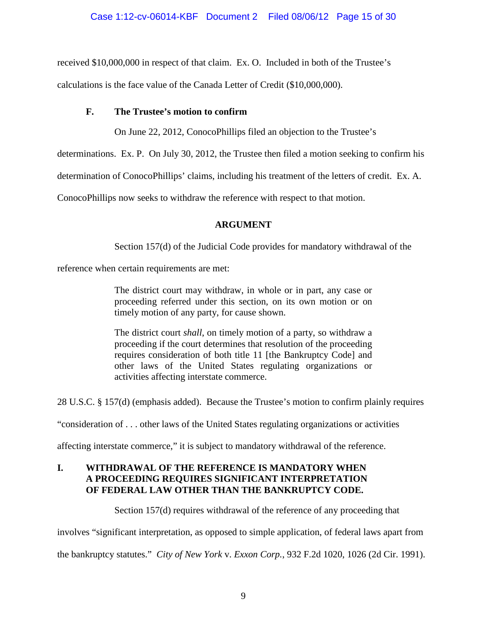### Case 1:12-cv-06014-KBF Document 2 Filed 08/06/12 Page 15 of 30

received \$10,000,000 in respect of that claim. Ex. O. Included in both of the Trustee's

<span id="page-14-0"></span>calculations is the face value of the Canada Letter of Credit (\$10,000,000).

### **F. The Trustee's motion to confirm**

On June 22, 2012, ConocoPhillips filed an objection to the Trustee's

determinations. Ex. P. On July 30, 2012, the Trustee then filed a motion seeking to confirm his

determination of ConocoPhillips' claims, including his treatment of the letters of credit. Ex. A.

<span id="page-14-1"></span>ConocoPhillips now seeks to withdraw the reference with respect to that motion.

### **ARGUMENT**

Section 157(d) of the Judicial Code provides for mandatory withdrawal of the

reference when certain requirements are met:

The district court may withdraw, in whole or in part, any case or proceeding referred under this section, on its own motion or on timely motion of any party, for cause shown.

The district court *shall*, on timely motion of a party, so withdraw a proceeding if the court determines that resolution of the proceeding requires consideration of both title 11 [the Bankruptcy Code] and other laws of the United States regulating organizations or activities affecting interstate commerce.

28 U.S.C. § 157(d) (emphasis added). Because the Trustee's motion to confirm plainly requires

"consideration of . . . other laws of the United States regulating organizations or activities

affecting interstate commerce," it is subject to mandatory withdrawal of the reference.

### <span id="page-14-2"></span>**I. WITHDRAWAL OF THE REFERENCE IS MANDATORY WHEN A PROCEEDING REQUIRES SIGNIFICANT INTERPRETATION OF FEDERAL LAW OTHER THAN THE BANKRUPTCY CODE.**

Section 157(d) requires withdrawal of the reference of any proceeding that

involves "significant interpretation, as opposed to simple application, of federal laws apart from

the bankruptcy statutes." *City of New York* v. *Exxon Corp.*, 932 F.2d 1020, 1026 (2d Cir. 1991).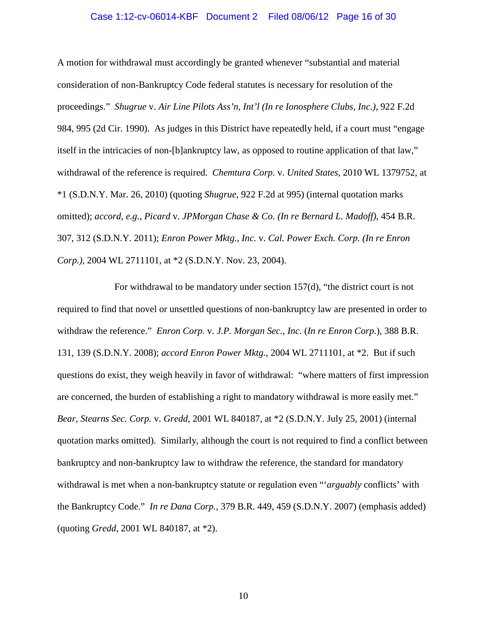#### Case 1:12-cv-06014-KBF Document 2 Filed 08/06/12 Page 16 of 30

A motion for withdrawal must accordingly be granted whenever "substantial and material consideration of non-Bankruptcy Code federal statutes is necessary for resolution of the proceedings." *Shugrue* v. *Air Line Pilots Ass'n, Int'l (In re Ionosphere Clubs, Inc.)*, 922 F.2d 984, 995 (2d Cir. 1990). As judges in this District have repeatedly held, if a court must "engage itself in the intricacies of non-[b]ankruptcy law, as opposed to routine application of that law," withdrawal of the reference is required. *Chemtura Corp.* v. *United States*, 2010 WL 1379752, at \*1 (S.D.N.Y. Mar. 26, 2010) (quoting *Shugrue*, 922 F.2d at 995) (internal quotation marks omitted); *accord, e.g.*, *Picard* v. *JPMorgan Chase & Co. (In re Bernard L. Madoff)*, 454 B.R. 307, 312 (S.D.N.Y. 2011); *Enron Power Mktg., Inc.* v. *Cal. Power Exch. Corp. (In re Enron Corp.)*, 2004 WL 2711101, at \*2 (S.D.N.Y. Nov. 23, 2004).

For withdrawal to be mandatory under section 157(d), "the district court is not required to find that novel or unsettled questions of non-bankruptcy law are presented in order to withdraw the reference." *Enron Corp.* v. *J.P. Morgan Sec., Inc.* (*In re Enron Corp.*), 388 B.R. 131, 139 (S.D.N.Y. 2008); *accord Enron Power Mktg.*, 2004 WL 2711101, at \*2. But if such questions do exist, they weigh heavily in favor of withdrawal: "where matters of first impression are concerned, the burden of establishing a right to mandatory withdrawal is more easily met." *Bear, Stearns Sec. Corp.* v. *Gredd*, 2001 WL 840187, at \*2 (S.D.N.Y. July 25, 2001) (internal quotation marks omitted). Similarly, although the court is not required to find a conflict between bankruptcy and non-bankruptcy law to withdraw the reference, the standard for mandatory withdrawal is met when a non-bankruptcy statute or regulation even "'*arguably* conflicts' with the Bankruptcy Code." *In re Dana Corp.*, 379 B.R. 449, 459 (S.D.N.Y. 2007) (emphasis added) (quoting *Gredd*, 2001 WL 840187, at \*2).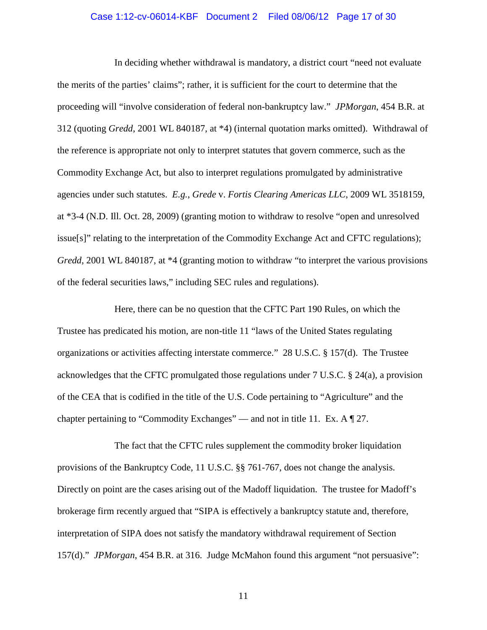#### Case 1:12-cv-06014-KBF Document 2 Filed 08/06/12 Page 17 of 30

In deciding whether withdrawal is mandatory, a district court "need not evaluate the merits of the parties' claims"; rather, it is sufficient for the court to determine that the proceeding will "involve consideration of federal non-bankruptcy law." *JPMorgan*, 454 B.R. at 312 (quoting *Gredd*, 2001 WL 840187, at \*4) (internal quotation marks omitted). Withdrawal of the reference is appropriate not only to interpret statutes that govern commerce, such as the Commodity Exchange Act, but also to interpret regulations promulgated by administrative agencies under such statutes. *E.g.*, *Grede* v. *Fortis Clearing Americas LLC*, 2009 WL 3518159, at \*3-4 (N.D. Ill. Oct. 28, 2009) (granting motion to withdraw to resolve "open and unresolved issue[s]" relating to the interpretation of the Commodity Exchange Act and CFTC regulations); *Gredd*, 2001 WL 840187, at \*4 (granting motion to withdraw "to interpret the various provisions of the federal securities laws," including SEC rules and regulations).

Here, there can be no question that the CFTC Part 190 Rules, on which the Trustee has predicated his motion, are non-title 11 "laws of the United States regulating organizations or activities affecting interstate commerce." 28 U.S.C. § 157(d). The Trustee acknowledges that the CFTC promulgated those regulations under 7 U.S.C. § 24(a), a provision of the CEA that is codified in the title of the U.S. Code pertaining to "Agriculture" and the chapter pertaining to "Commodity Exchanges" — and not in title 11. Ex. A ¶ 27.

The fact that the CFTC rules supplement the commodity broker liquidation provisions of the Bankruptcy Code, 11 U.S.C. §§ 761-767, does not change the analysis. Directly on point are the cases arising out of the Madoff liquidation. The trustee for Madoff's brokerage firm recently argued that "SIPA is effectively a bankruptcy statute and, therefore, interpretation of SIPA does not satisfy the mandatory withdrawal requirement of Section 157(d)." *JPMorgan*, 454 B.R. at 316. Judge McMahon found this argument "not persuasive":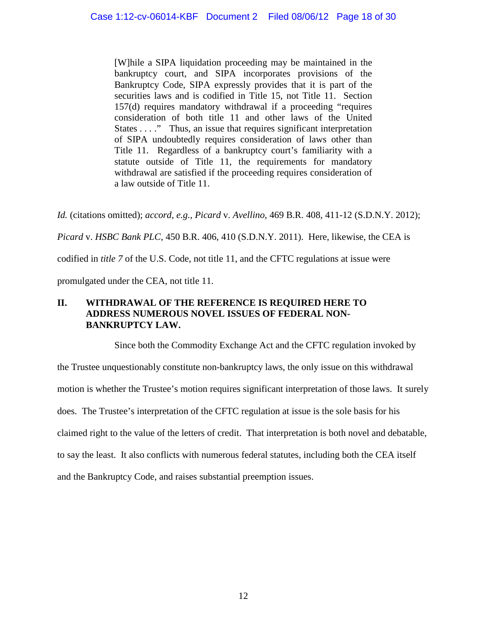[W]hile a SIPA liquidation proceeding may be maintained in the bankruptcy court, and SIPA incorporates provisions of the Bankruptcy Code, SIPA expressly provides that it is part of the securities laws and is codified in Title 15, not Title 11. Section 157(d) requires mandatory withdrawal if a proceeding "requires consideration of both title 11 and other laws of the United States . . . ." Thus, an issue that requires significant interpretation of SIPA undoubtedly requires consideration of laws other than Title 11. Regardless of a bankruptcy court's familiarity with a statute outside of Title 11, the requirements for mandatory withdrawal are satisfied if the proceeding requires consideration of a law outside of Title 11.

*Id.* (citations omitted); *accord, e.g.*, *Picard* v. *Avellino*, 469 B.R. 408, 411-12 (S.D.N.Y. 2012);

*Picard* v. *HSBC Bank PLC*, 450 B.R. 406, 410 (S.D.N.Y. 2011). Here, likewise, the CEA is

codified in *title 7* of the U.S. Code, not title 11, and the CFTC regulations at issue were

promulgated under the CEA, not title 11.

### <span id="page-17-0"></span>**II. WITHDRAWAL OF THE REFERENCE IS REQUIRED HERE TO ADDRESS NUMEROUS NOVEL ISSUES OF FEDERAL NON-BANKRUPTCY LAW.**

Since both the Commodity Exchange Act and the CFTC regulation invoked by the Trustee unquestionably constitute non-bankruptcy laws, the only issue on this withdrawal motion is whether the Trustee's motion requires significant interpretation of those laws. It surely does. The Trustee's interpretation of the CFTC regulation at issue is the sole basis for his claimed right to the value of the letters of credit. That interpretation is both novel and debatable, to say the least. It also conflicts with numerous federal statutes, including both the CEA itself and the Bankruptcy Code, and raises substantial preemption issues.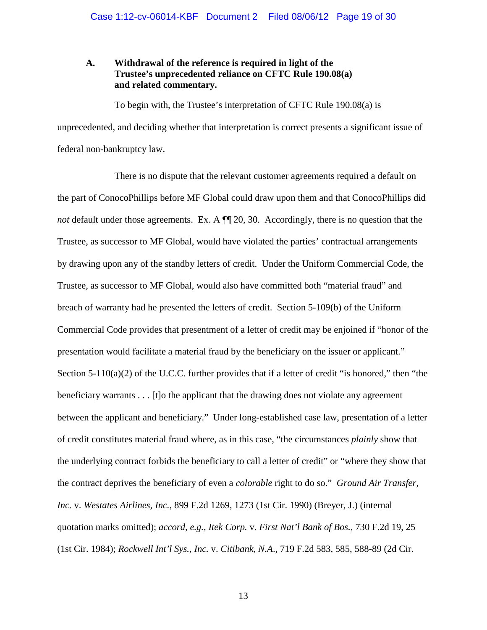### <span id="page-18-0"></span>**A. Withdrawal of the reference is required in light of the Trustee's unprecedented reliance on CFTC Rule 190.08(a) and related commentary.**

To begin with, the Trustee's interpretation of CFTC Rule 190.08(a) is unprecedented, and deciding whether that interpretation is correct presents a significant issue of federal non-bankruptcy law.

There is no dispute that the relevant customer agreements required a default on the part of ConocoPhillips before MF Global could draw upon them and that ConocoPhillips did *not* default under those agreements. Ex. A  $\P$  20, 30. Accordingly, there is no question that the Trustee, as successor to MF Global, would have violated the parties' contractual arrangements by drawing upon any of the standby letters of credit. Under the Uniform Commercial Code, the Trustee, as successor to MF Global, would also have committed both "material fraud" and breach of warranty had he presented the letters of credit. Section 5-109(b) of the Uniform Commercial Code provides that presentment of a letter of credit may be enjoined if "honor of the presentation would facilitate a material fraud by the beneficiary on the issuer or applicant." Section 5-110(a)(2) of the U.C.C. further provides that if a letter of credit "is honored," then "the beneficiary warrants . . . [t]o the applicant that the drawing does not violate any agreement between the applicant and beneficiary." Under long-established case law, presentation of a letter of credit constitutes material fraud where, as in this case, "the circumstances *plainly* show that the underlying contract forbids the beneficiary to call a letter of credit" or "where they show that the contract deprives the beneficiary of even a *colorable* right to do so." *Ground Air Transfer, Inc.* v. *Westates Airlines, Inc.*, 899 F.2d 1269, 1273 (1st Cir. 1990) (Breyer, J.) (internal quotation marks omitted); *accord, e.g.*, *Itek Corp.* v. *First Nat'l Bank of Bos.*, 730 F.2d 19, 25 (1st Cir. 1984); *Rockwell Int'l Sys., Inc.* v. *Citibank*, *N.A*., 719 F.2d 583, 585, 588-89 (2d Cir.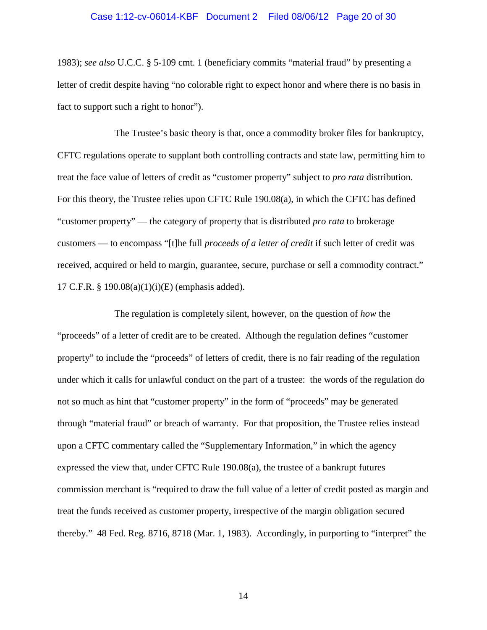#### Case 1:12-cv-06014-KBF Document 2 Filed 08/06/12 Page 20 of 30

1983); *see also* U.C.C. § 5-109 cmt. 1 (beneficiary commits "material fraud" by presenting a letter of credit despite having "no colorable right to expect honor and where there is no basis in fact to support such a right to honor").

The Trustee's basic theory is that, once a commodity broker files for bankruptcy, CFTC regulations operate to supplant both controlling contracts and state law, permitting him to treat the face value of letters of credit as "customer property" subject to *pro rata* distribution. For this theory, the Trustee relies upon CFTC Rule 190.08(a), in which the CFTC has defined "customer property" — the category of property that is distributed *pro rata* to brokerage customers — to encompass "[t]he full *proceeds of a letter of credit* if such letter of credit was received, acquired or held to margin, guarantee, secure, purchase or sell a commodity contract." 17 C.F.R. § 190.08(a)(1)(i)(E) (emphasis added).

The regulation is completely silent, however, on the question of *how* the "proceeds" of a letter of credit are to be created. Although the regulation defines "customer property" to include the "proceeds" of letters of credit, there is no fair reading of the regulation under which it calls for unlawful conduct on the part of a trustee: the words of the regulation do not so much as hint that "customer property" in the form of "proceeds" may be generated through "material fraud" or breach of warranty. For that proposition, the Trustee relies instead upon a CFTC commentary called the "Supplementary Information," in which the agency expressed the view that, under CFTC Rule 190.08(a), the trustee of a bankrupt futures commission merchant is "required to draw the full value of a letter of credit posted as margin and treat the funds received as customer property, irrespective of the margin obligation secured thereby." 48 Fed. Reg. 8716, 8718 (Mar. 1, 1983). Accordingly, in purporting to "interpret" the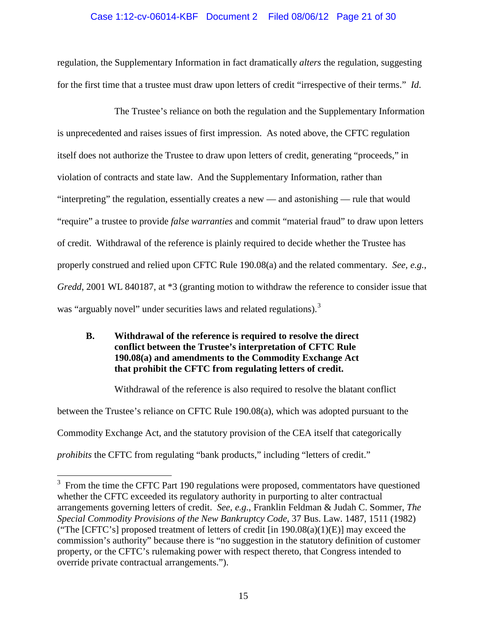### Case 1:12-cv-06014-KBF Document 2 Filed 08/06/12 Page 21 of 30

regulation, the Supplementary Information in fact dramatically *alters* the regulation, suggesting for the first time that a trustee must draw upon letters of credit "irrespective of their terms." *Id*.

The Trustee's reliance on both the regulation and the Supplementary Information is unprecedented and raises issues of first impression. As noted above, the CFTC regulation itself does not authorize the Trustee to draw upon letters of credit, generating "proceeds," in violation of contracts and state law. And the Supplementary Information, rather than "interpreting" the regulation, essentially creates a new — and astonishing — rule that would "require" a trustee to provide *false warranties* and commit "material fraud" to draw upon letters of credit. Withdrawal of the reference is plainly required to decide whether the Trustee has properly construed and relied upon CFTC Rule 190.08(a) and the related commentary. *See, e.g.*, *Gredd*, 2001 WL 840187, at \*3 (granting motion to withdraw the reference to consider issue that was "arguably novel" under securities laws and related regulations).<sup>[3](#page-20-1)</sup>

### <span id="page-20-0"></span>**B. Withdrawal of the reference is required to resolve the direct conflict between the Trustee's interpretation of CFTC Rule 190.08(a) and amendments to the Commodity Exchange Act that prohibit the CFTC from regulating letters of credit.**

Withdrawal of the reference is also required to resolve the blatant conflict between the Trustee's reliance on CFTC Rule 190.08(a), which was adopted pursuant to the Commodity Exchange Act, and the statutory provision of the CEA itself that categorically *prohibits* the CFTC from regulating "bank products," including "letters of credit."

<span id="page-20-1"></span><sup>&</sup>lt;sup>3</sup> From the time the CFTC Part 190 regulations were proposed, commentators have questioned whether the CFTC exceeded its regulatory authority in purporting to alter contractual arrangements governing letters of credit. *See, e.g.*, Franklin Feldman & Judah C. Sommer, *The Special Commodity Provisions of the New Bankruptcy Code*, 37 Bus. Law. 1487, 1511 (1982) ("The [CFTC's] proposed treatment of letters of credit [in  $190.08(a)(1)(E)$ ] may exceed the commission's authority" because there is "no suggestion in the statutory definition of customer property, or the CFTC's rulemaking power with respect thereto, that Congress intended to override private contractual arrangements.").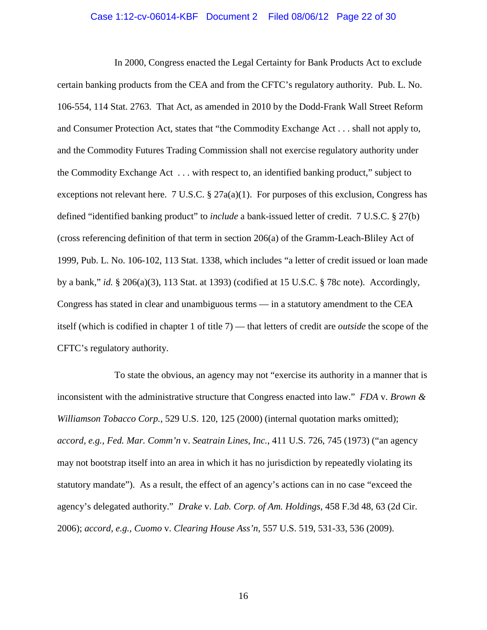#### Case 1:12-cv-06014-KBF Document 2 Filed 08/06/12 Page 22 of 30

In 2000, Congress enacted the Legal Certainty for Bank Products Act to exclude certain banking products from the CEA and from the CFTC's regulatory authority. Pub. L. No. 106-554, 114 Stat. 2763. That Act, as amended in 2010 by the Dodd-Frank Wall Street Reform and Consumer Protection Act, states that "the Commodity Exchange Act . . . shall not apply to, and the Commodity Futures Trading Commission shall not exercise regulatory authority under the Commodity Exchange Act . . . with respect to, an identified banking product," subject to exceptions not relevant here. 7 U.S.C.  $\S 27a(a)(1)$ . For purposes of this exclusion, Congress has defined "identified banking product" to *include* a bank-issued letter of credit. 7 U.S.C. § 27(b) (cross referencing definition of that term in section 206(a) of the Gramm-Leach-Bliley Act of 1999, Pub. L. No. 106-102, 113 Stat. 1338, which includes "a letter of credit issued or loan made by a bank," *id.* § 206(a)(3), 113 Stat. at 1393) (codified at 15 U.S.C. § 78c note). Accordingly, Congress has stated in clear and unambiguous terms — in a statutory amendment to the CEA itself (which is codified in chapter 1 of title 7) — that letters of credit are *outside* the scope of the CFTC's regulatory authority.

To state the obvious, an agency may not "exercise its authority in a manner that is inconsistent with the administrative structure that Congress enacted into law." *FDA* v. *Brown & Williamson Tobacco Corp.*, 529 U.S. 120, 125 (2000) (internal quotation marks omitted); *accord, e.g.*, *Fed. Mar. Comm'n* v. *Seatrain Lines, Inc.*, 411 U.S. 726, 745 (1973) ("an agency may not bootstrap itself into an area in which it has no jurisdiction by repeatedly violating its statutory mandate"). As a result, the effect of an agency's actions can in no case "exceed the agency's delegated authority." *Drake* v. *Lab. Corp. of Am. Holdings*, 458 F.3d 48, 63 (2d Cir. 2006); *accord, e.g.*, *Cuomo* v. *Clearing House Ass'n*, 557 U.S. 519, 531-33, 536 (2009).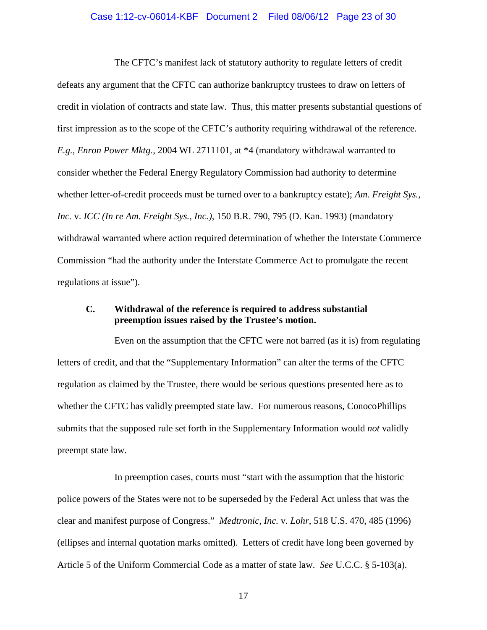#### Case 1:12-cv-06014-KBF Document 2 Filed 08/06/12 Page 23 of 30

The CFTC's manifest lack of statutory authority to regulate letters of credit defeats any argument that the CFTC can authorize bankruptcy trustees to draw on letters of credit in violation of contracts and state law. Thus, this matter presents substantial questions of first impression as to the scope of the CFTC's authority requiring withdrawal of the reference. *E.g.*, *Enron Power Mktg.*, 2004 WL 2711101, at \*4 (mandatory withdrawal warranted to consider whether the Federal Energy Regulatory Commission had authority to determine whether letter-of-credit proceeds must be turned over to a bankruptcy estate); *Am. Freight Sys., Inc.* v. *ICC (In re Am. Freight Sys., Inc.)*, 150 B.R. 790, 795 (D. Kan. 1993) (mandatory withdrawal warranted where action required determination of whether the Interstate Commerce Commission "had the authority under the Interstate Commerce Act to promulgate the recent regulations at issue").

#### <span id="page-22-0"></span>**C. Withdrawal of the reference is required to address substantial preemption issues raised by the Trustee's motion.**

Even on the assumption that the CFTC were not barred (as it is) from regulating letters of credit, and that the "Supplementary Information" can alter the terms of the CFTC regulation as claimed by the Trustee, there would be serious questions presented here as to whether the CFTC has validly preempted state law. For numerous reasons, ConocoPhillips submits that the supposed rule set forth in the Supplementary Information would *not* validly preempt state law.

In preemption cases, courts must "start with the assumption that the historic police powers of the States were not to be superseded by the Federal Act unless that was the clear and manifest purpose of Congress." *Medtronic, Inc.* v. *Lohr*, 518 U.S. 470, 485 (1996) (ellipses and internal quotation marks omitted). Letters of credit have long been governed by Article 5 of the Uniform Commercial Code as a matter of state law. *See* U.C.C. § 5-103(a).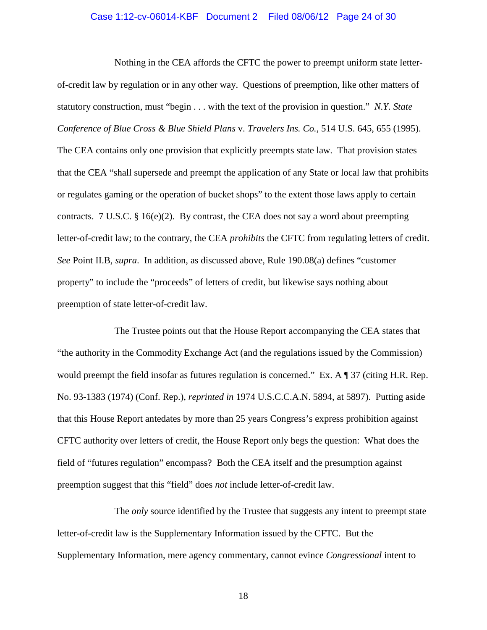#### Case 1:12-cv-06014-KBF Document 2 Filed 08/06/12 Page 24 of 30

Nothing in the CEA affords the CFTC the power to preempt uniform state letterof-credit law by regulation or in any other way. Questions of preemption, like other matters of statutory construction, must "begin . . . with the text of the provision in question." *N.Y. State Conference of Blue Cross & Blue Shield Plans* v. *Travelers Ins. Co.*, 514 U.S. 645, 655 (1995). The CEA contains only one provision that explicitly preempts state law. That provision states that the CEA "shall supersede and preempt the application of any State or local law that prohibits or regulates gaming or the operation of bucket shops" to the extent those laws apply to certain contracts. 7 U.S.C. § 16(e)(2). By contrast, the CEA does not say a word about preempting letter-of-credit law; to the contrary, the CEA *prohibits* the CFTC from regulating letters of credit. *See* Point II.B, *supra*. In addition, as discussed above, Rule 190.08(a) defines "customer property" to include the "proceeds" of letters of credit, but likewise says nothing about preemption of state letter-of-credit law.

The Trustee points out that the House Report accompanying the CEA states that "the authority in the Commodity Exchange Act (and the regulations issued by the Commission) would preempt the field insofar as futures regulation is concerned." Ex. A ¶ 37 (citing H.R. Rep. No. 93-1383 (1974) (Conf. Rep.), *reprinted in* 1974 U.S.C.C.A.N. 5894, at 5897). Putting aside that this House Report antedates by more than 25 years Congress's express prohibition against CFTC authority over letters of credit, the House Report only begs the question: What does the field of "futures regulation" encompass? Both the CEA itself and the presumption against preemption suggest that this "field" does *not* include letter-of-credit law.

The *only* source identified by the Trustee that suggests any intent to preempt state letter-of-credit law is the Supplementary Information issued by the CFTC. But the Supplementary Information, mere agency commentary, cannot evince *Congressional* intent to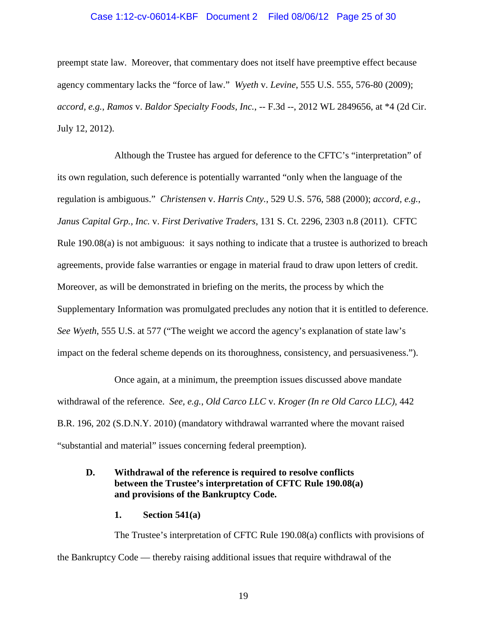#### Case 1:12-cv-06014-KBF Document 2 Filed 08/06/12 Page 25 of 30

preempt state law. Moreover, that commentary does not itself have preemptive effect because agency commentary lacks the "force of law." *Wyeth* v. *Levine*, 555 U.S. 555, 576-80 (2009); *accord, e.g.*, *Ramos* v. *Baldor Specialty Foods, Inc.*, -- F.3d --, 2012 WL 2849656, at \*4 (2d Cir. July 12, 2012).

Although the Trustee has argued for deference to the CFTC's "interpretation" of its own regulation, such deference is potentially warranted "only when the language of the regulation is ambiguous." *Christensen* v. *Harris Cnty.*, 529 U.S. 576, 588 (2000); *accord, e.g.*, *Janus Capital Grp., Inc.* v. *First Derivative Traders*, 131 S. Ct. 2296, 2303 n.8 (2011). CFTC Rule 190.08(a) is not ambiguous: it says nothing to indicate that a trustee is authorized to breach agreements, provide false warranties or engage in material fraud to draw upon letters of credit. Moreover, as will be demonstrated in briefing on the merits, the process by which the Supplementary Information was promulgated precludes any notion that it is entitled to deference. *See Wyeth*, 555 U.S. at 577 ("The weight we accord the agency's explanation of state law's impact on the federal scheme depends on its thoroughness, consistency, and persuasiveness.").

Once again, at a minimum, the preemption issues discussed above mandate withdrawal of the reference. *See, e.g.*, *Old Carco LLC* v. *Kroger (In re Old Carco LLC)*, 442 B.R. 196, 202 (S.D.N.Y. 2010) (mandatory withdrawal warranted where the movant raised "substantial and material" issues concerning federal preemption).

### <span id="page-24-0"></span>**D. Withdrawal of the reference is required to resolve conflicts between the Trustee's interpretation of CFTC Rule 190.08(a) and provisions of the Bankruptcy Code.**

**1. Section 541(a)**

<span id="page-24-1"></span>The Trustee's interpretation of CFTC Rule 190.08(a) conflicts with provisions of the Bankruptcy Code — thereby raising additional issues that require withdrawal of the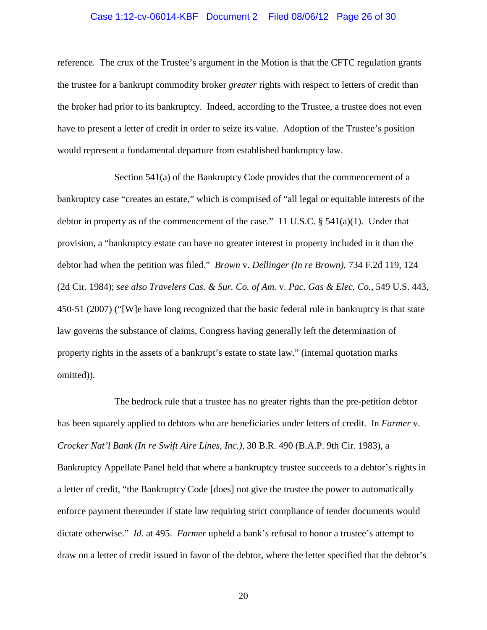#### Case 1:12-cv-06014-KBF Document 2 Filed 08/06/12 Page 26 of 30

reference. The crux of the Trustee's argument in the Motion is that the CFTC regulation grants the trustee for a bankrupt commodity broker *greater* rights with respect to letters of credit than the broker had prior to its bankruptcy. Indeed, according to the Trustee, a trustee does not even have to present a letter of credit in order to seize its value. Adoption of the Trustee's position would represent a fundamental departure from established bankruptcy law.

Section 541(a) of the Bankruptcy Code provides that the commencement of a bankruptcy case "creates an estate," which is comprised of "all legal or equitable interests of the debtor in property as of the commencement of the case." 11 U.S.C.  $\S$  541(a)(1). Under that provision, a "bankruptcy estate can have no greater interest in property included in it than the debtor had when the petition was filed." *Brown* v. *Dellinger (In re Brown)*, 734 F.2d 119, 124 (2d Cir. 1984); *see also Travelers Cas. & Sur. Co. of Am.* v. *Pac. Gas & Elec. Co.*, 549 U.S. 443, 450-51 (2007) ("[W]e have long recognized that the basic federal rule in bankruptcy is that state law governs the substance of claims, Congress having generally left the determination of property rights in the assets of a bankrupt's estate to state law." (internal quotation marks omitted)).

The bedrock rule that a trustee has no greater rights than the pre-petition debtor has been squarely applied to debtors who are beneficiaries under letters of credit. In *Farmer* v. *Crocker Nat'l Bank (In re Swift Aire Lines, Inc.)*, 30 B.R. 490 (B.A.P. 9th Cir. 1983), a Bankruptcy Appellate Panel held that where a bankruptcy trustee succeeds to a debtor's rights in a letter of credit, "the Bankruptcy Code [does] not give the trustee the power to automatically enforce payment thereunder if state law requiring strict compliance of tender documents would dictate otherwise." *Id.* at 495. *Farmer* upheld a bank's refusal to honor a trustee's attempt to draw on a letter of credit issued in favor of the debtor, where the letter specified that the debtor's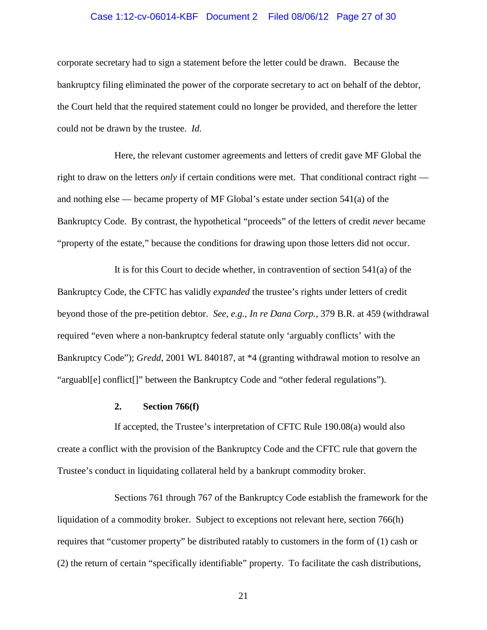#### Case 1:12-cv-06014-KBF Document 2 Filed 08/06/12 Page 27 of 30

corporate secretary had to sign a statement before the letter could be drawn. Because the bankruptcy filing eliminated the power of the corporate secretary to act on behalf of the debtor, the Court held that the required statement could no longer be provided, and therefore the letter could not be drawn by the trustee. *Id.* 

Here, the relevant customer agreements and letters of credit gave MF Global the right to draw on the letters *only* if certain conditions were met. That conditional contract right and nothing else — became property of MF Global's estate under section 541(a) of the Bankruptcy Code. By contrast, the hypothetical "proceeds" of the letters of credit *never* became "property of the estate," because the conditions for drawing upon those letters did not occur.

It is for this Court to decide whether, in contravention of section 541(a) of the Bankruptcy Code, the CFTC has validly *expanded* the trustee's rights under letters of credit beyond those of the pre-petition debtor. *See, e.g.*, *In re Dana Corp.*, 379 B.R. at 459 (withdrawal required "even where a non-bankruptcy federal statute only 'arguably conflicts' with the Bankruptcy Code"); *Gredd*, 2001 WL 840187, at \*4 (granting withdrawal motion to resolve an "arguabl[e] conflict[]" between the Bankruptcy Code and "other federal regulations").

#### **2. Section 766(f)**

<span id="page-26-0"></span>If accepted, the Trustee's interpretation of CFTC Rule 190.08(a) would also create a conflict with the provision of the Bankruptcy Code and the CFTC rule that govern the Trustee's conduct in liquidating collateral held by a bankrupt commodity broker.

Sections 761 through 767 of the Bankruptcy Code establish the framework for the liquidation of a commodity broker. Subject to exceptions not relevant here, section 766(h) requires that "customer property" be distributed ratably to customers in the form of (1) cash or (2) the return of certain "specifically identifiable" property. To facilitate the cash distributions,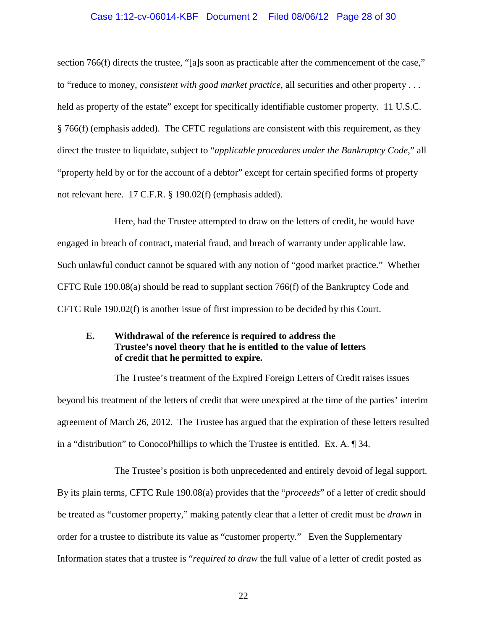#### Case 1:12-cv-06014-KBF Document 2 Filed 08/06/12 Page 28 of 30

section 766(f) directs the trustee, "[a]s soon as practicable after the commencement of the case," to "reduce to money, *consistent with good market practice*, all securities and other property . . . held as property of the estate" except for specifically identifiable customer property. 11 U.S.C. § 766(f) (emphasis added). The CFTC regulations are consistent with this requirement, as they direct the trustee to liquidate, subject to "*applicable procedures under the Bankruptcy Code*," all "property held by or for the account of a debtor" except for certain specified forms of property not relevant here. 17 C.F.R. § 190.02(f) (emphasis added).

Here, had the Trustee attempted to draw on the letters of credit, he would have engaged in breach of contract, material fraud, and breach of warranty under applicable law. Such unlawful conduct cannot be squared with any notion of "good market practice." Whether CFTC Rule  $190.08(a)$  should be read to supplant section 766(f) of the Bankruptcy Code and CFTC Rule 190.02(f) is another issue of first impression to be decided by this Court.

### <span id="page-27-0"></span>**E. Withdrawal of the reference is required to address the Trustee's novel theory that he is entitled to the value of letters of credit that he permitted to expire.**

The Trustee's treatment of the Expired Foreign Letters of Credit raises issues beyond his treatment of the letters of credit that were unexpired at the time of the parties' interim agreement of March 26, 2012. The Trustee has argued that the expiration of these letters resulted in a "distribution" to ConocoPhillips to which the Trustee is entitled. Ex. A. ¶ 34.

The Trustee's position is both unprecedented and entirely devoid of legal support. By its plain terms, CFTC Rule 190.08(a) provides that the "*proceeds*" of a letter of credit should be treated as "customer property," making patently clear that a letter of credit must be *drawn* in order for a trustee to distribute its value as "customer property." Even the Supplementary Information states that a trustee is "*required to draw* the full value of a letter of credit posted as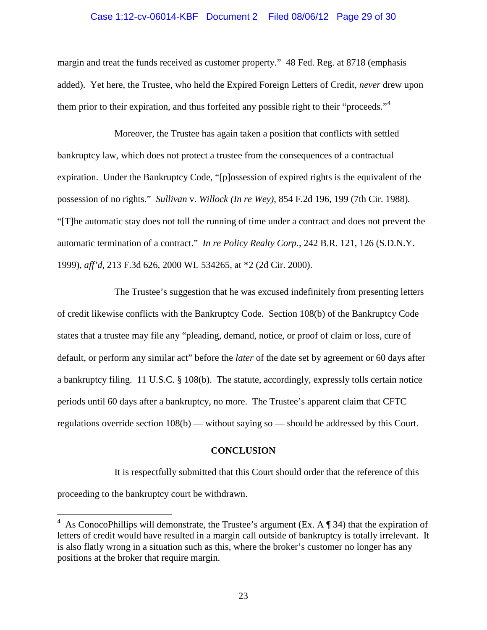#### Case 1:12-cv-06014-KBF Document 2 Filed 08/06/12 Page 29 of 30

margin and treat the funds received as customer property." 48 Fed. Reg. at 8718 (emphasis added). Yet here, the Trustee, who held the Expired Foreign Letters of Credit, *never* drew upon them prior to their expiration, and thus forfeited any possible right to their "proceeds."<sup>[4](#page-28-1)</sup>

Moreover, the Trustee has again taken a position that conflicts with settled bankruptcy law, which does not protect a trustee from the consequences of a contractual expiration. Under the Bankruptcy Code, "[p]ossession of expired rights is the equivalent of the possession of no rights." *Sullivan* v. *Willock (In re Wey)*, 854 F.2d 196, 199 (7th Cir. 1988)*.*  "[T]he automatic stay does not toll the running of time under a contract and does not prevent the automatic termination of a contract." *In re Policy Realty Corp.*, 242 B.R. 121, 126 (S.D.N.Y. 1999), *aff'd*, 213 F.3d 626, 2000 WL 534265, at \*2 (2d Cir. 2000).

The Trustee's suggestion that he was excused indefinitely from presenting letters of credit likewise conflicts with the Bankruptcy Code. Section 108(b) of the Bankruptcy Code states that a trustee may file any "pleading, demand, notice, or proof of claim or loss, cure of default, or perform any similar act" before the *later* of the date set by agreement or 60 days after a bankruptcy filing. 11 U.S.C. § 108(b). The statute, accordingly, expressly tolls certain notice periods until 60 days after a bankruptcy, no more. The Trustee's apparent claim that CFTC regulations override section 108(b) — without saying so — should be addressed by this Court.

#### **CONCLUSION**

<span id="page-28-0"></span>It is respectfully submitted that this Court should order that the reference of this proceeding to the bankruptcy court be withdrawn.

<span id="page-28-1"></span><sup>&</sup>lt;sup>4</sup> As ConocoPhillips will demonstrate, the Trustee's argument (Ex. A ¶ 34) that the expiration of letters of credit would have resulted in a margin call outside of bankruptcy is totally irrelevant. It is also flatly wrong in a situation such as this, where the broker's customer no longer has any positions at the broker that require margin.